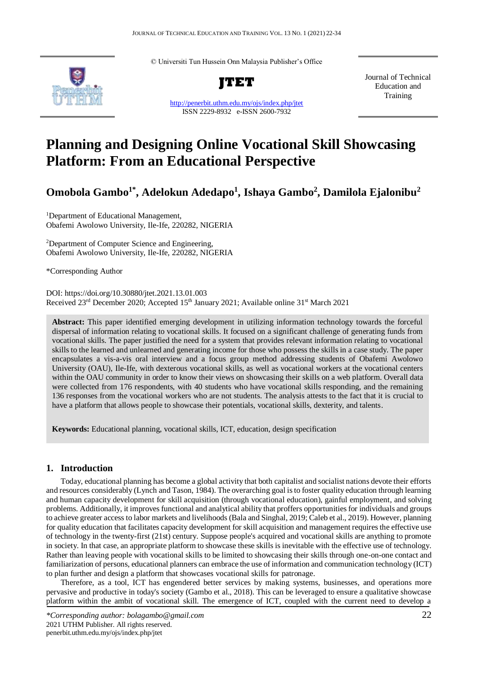© Universiti Tun Hussein Onn Malaysia Publisher's Office



**JTET**

<http://penerbit.uthm.edu.my/ojs/index.php/jtet> ISSN 2229-8932 e-ISSN 2600-7932

Journal of Technical Education and **Training** 

# **Planning and Designing Online Vocational Skill Showcasing Platform: From an Educational Perspective**

**Omobola Gambo1\*, Adelokun Adedapo<sup>1</sup> , Ishaya Gambo<sup>2</sup> , Damilola Ejalonibu<sup>2</sup>**

<sup>1</sup>Department of Educational Management, Obafemi Awolowo University, Ile-Ife, 220282, NIGERIA

<sup>2</sup>Department of Computer Science and Engineering, Obafemi Awolowo University, Ile-Ife, 220282, NIGERIA

\*Corresponding Author

DOI: https://doi.org/10.30880/jtet.2021.13.01.003 Received 23<sup>rd</sup> December 2020; Accepted 15<sup>th</sup> January 2021; Available online 31<sup>st</sup> March 2021

**Abstract:** This paper identified emerging development in utilizing information technology towards the forceful dispersal of information relating to vocational skills. It focused on a significant challenge of generating funds from vocational skills. The paper justified the need for a system that provides relevant information relating to vocational skills to the learned and unlearned and generating income for those who possess the skills in a case study. The paper encapsulates a vis-a-vis oral interview and a focus group method addressing students of Obafemi Awolowo University (OAU), Ile-Ife, with dexterous vocational skills, as well as vocational workers at the vocational centers within the OAU community in order to know their views on showcasing their skills on a web platform. Overall data were collected from 176 respondents, with 40 students who have vocational skills responding, and the remaining 136 responses from the vocational workers who are not students. The analysis attests to the fact that it is crucial to have a platform that allows people to showcase their potentials, vocational skills, dexterity, and talents.

**Keywords:** Educational planning, vocational skills, ICT, education, design specification

### **1. Introduction**

Today, educational planning has become a global activity that both capitalist and socialist nations devote their efforts and resources considerably (Lynch and Tason, 1984). The overarching goal is to foster quality education through learning and human capacity development for skill acquisition (through vocational education), gainful employment, and solving problems. Additionally, it improves functional and analytical ability that proffers opportunities for individuals and groups to achieve greater access to labor markets and livelihoods (Bala and Singhal, 2019; Caleb et al., 2019). However, planning for quality education that facilitates capacity development for skill acquisition and management requires the effective use of technology in the twenty-first (21st) century. Suppose people's acquired and vocational skills are anything to promote in society. In that case, an appropriate platform to showcase these skills is inevitable with the effective use of technology. Rather than leaving people with vocational skills to be limited to showcasing their skills through one-on-one contact and familiarization of persons, educational planners can embrace the use of information and communication technology (ICT) to plan further and design a platform that showcases vocational skills for patronage.

Therefore, as a tool, ICT has engendered better services by making systems, businesses, and operations more pervasive and productive in today's society (Gambo et al., 2018). This can be leveraged to ensure a qualitative showcase platform within the ambit of vocational skill. The emergence of ICT, coupled with the current need to develop a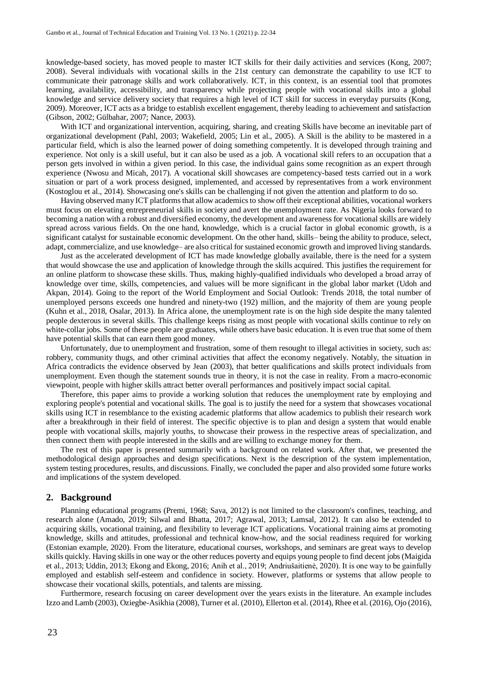knowledge-based society, has moved people to master ICT skills for their daily activities and services (Kong, 2007; 2008). Several individuals with vocational skills in the 21st century can demonstrate the capability to use ICT to communicate their patronage skills and work collaboratively. ICT, in this context, is an essential tool that promotes learning, availability, accessibility, and transparency while projecting people with vocational skills into a global knowledge and service delivery society that requires a high level of ICT skill for success in everyday pursuits (Kong, 2009). Moreover, ICT acts as a bridge to establish excellent engagement, thereby leading to achievement and satisfaction (Gibson, 2002; Gülbahar, 2007; Nance, 2003).

With ICT and organizational intervention, acquiring, sharing, and creating Skills have become an inevitable part of organizational development (Pahl, 2003; Wakefield, 2005; Lin et al., 2005). A Skill is the ability to be mastered in a particular field, which is also the learned power of doing something competently. It is developed through training and experience. Not only is a skill useful, but it can also be used as a job. A vocational skill refers to an occupation that a person gets involved in within a given period. In this case, the individual gains some recognition as an expert through experience (Nwosu and Micah, 2017). A vocational skill showcases are competency-based tests carried out in a work situation or part of a work process designed, implemented, and accessed by representatives from a work environment (Kostoglou et al., 2014). Showcasing one's skills can be challenging if not given the attention and platform to do so.

Having observed many ICT platforms that allow academics to show off their exceptional abilities, vocational workers must focus on elevating entrepreneurial skills in society and avert the unemployment rate. As Nigeria looks forward to becoming a nation with a robust and diversified economy, the development and awareness for vocational skills are widely spread across various fields. On the one hand, knowledge, which is a crucial factor in global economic growth, is a significant catalyst for sustainable economic development. On the other hand, skills– being the ability to produce, select, adapt, commercialize, and use knowledge– are also critical for sustained economic growth and improved living standards.

Just as the accelerated development of ICT has made knowledge globally available, there is the need for a system that would showcase the use and application of knowledge through the skills acquired. This justifies the requirement for an online platform to showcase these skills. Thus, making highly-qualified individuals who developed a broad array of knowledge over time, skills, competencies, and values will be more significant in the global labor market (Udoh and Akpan, 2014). Going to the report of the World Employment and Social Outlook: Trends 2018, the total number of unemployed persons exceeds one hundred and ninety-two (192) million, and the majority of them are young people (Kuhn et al., 2018, Osalar, 2013). In Africa alone, the unemployment rate is on the high side despite the many talented people dexterous in several skills. This challenge keeps rising as most people with vocational skills continue to rely on white-collar jobs. Some of these people are graduates, while others have basic education. It is even true that some of them have potential skills that can earn them good money.

Unfortunately, due to unemployment and frustration, some of them resought to illegal activities in society, such as: robbery, community thugs, and other criminal activities that affect the economy negatively. Notably, the situation in Africa contradicts the evidence observed by Jean (2003), that better qualifications and skills protect individuals from unemployment. Even though the statement sounds true in theory, it is not the case in reality. From a macro-economic viewpoint, people with higher skills attract better overall performances and positively impact social capital.

Therefore, this paper aims to provide a working solution that reduces the unemployment rate by employing and exploring people's potential and vocational skills. The goal is to justify the need for a system that showcases vocational skills using ICT in resemblance to the existing academic platforms that allow academics to publish their research work after a breakthrough in their field of interest. The specific objective is to plan and design a system that would enable people with vocational skills, majorly youths, to showcase their prowess in the respective areas of specialization, and then connect them with people interested in the skills and are willing to exchange money for them.

The rest of this paper is presented summarily with a background on related work. After that, we presented the methodological design approaches and design specifications. Next is the description of the system implementation, system testing procedures, results, and discussions. Finally, we concluded the paper and also provided some future works and implications of the system developed.

#### **2. Background**

Planning educational programs (Premi, 1968; Sava, 2012) is not limited to the classroom's confines, teaching, and research alone (Amado, 2019; Silwal and Bhatta, 2017; Agrawal, 2013; Lamsal, 2012). It can also be extended to acquiring skills, vocational training, and flexibility to leverage ICT applications. Vocational training aims at promoting knowledge, skills and attitudes, professional and technical know-how, and the social readiness required for working (Estonian example, 2020). From the literature, educational courses, workshops, and seminars are great ways to develop skills quickly. Having skills in one way or the other reduces poverty and equips young people to find decent jobs (Maigida et al., 2013; Uddin, 2013; Ekong and Ekong, 2016; Anih et al., 2019; Andriušaitienė, 2020). It is one way to be gainfully employed and establish self-esteem and confidence in society. However, platforms or systems that allow people to showcase their vocational skills, potentials, and talents are missing.

Furthermore, research focusing on career development over the years exists in the literature. An example includes Izzo and Lamb (2003), Oziegbe-Asikhia (2008), Turner et al. (2010), Ellerton et al. (2014), Rhee et al. (2016), Ojo (2016),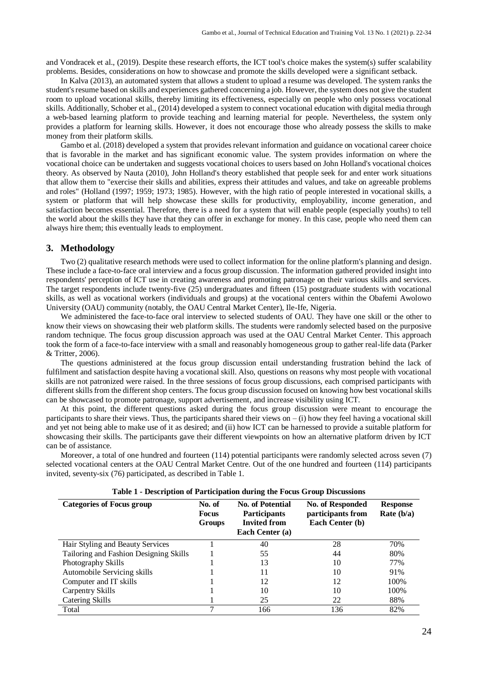and Vondracek et al., (2019). Despite these research efforts, the ICT tool's choice makes the system(s) suffer scalability problems. Besides, considerations on how to showcase and promote the skills developed were a significant setback.

In Kalva (2013), an automated system that allows a student to upload a resume was developed. The system ranks the student's resume based on skills and experiences gathered concerning a job. However, the system does not give the student room to upload vocational skills, thereby limiting its effectiveness, especially on people who only possess vocational skills. Additionally, Schober et al., (2014) developed a system to connect vocational education with digital media through a web-based learning platform to provide teaching and learning material for people. Nevertheless, the system only provides a platform for learning skills. However, it does not encourage those who already possess the skills to make money from their platform skills.

Gambo et al. (2018) developed a system that provides relevant information and guidance on vocational career choice that is favorable in the market and has significant economic value. The system provides information on where the vocational choice can be undertaken and suggests vocational choices to users based on John Holland's vocational choices theory. As observed by Nauta (2010), John Holland's theory established that people seek for and enter work situations that allow them to "exercise their skills and abilities, express their attitudes and values, and take on agreeable problems and roles" (Holland (1997; 1959; 1973; 1985). However, with the high ratio of people interested in vocational skills, a system or platform that will help showcase these skills for productivity, employability, income generation, and satisfaction becomes essential. Therefore, there is a need for a system that will enable people (especially youths) to tell the world about the skills they have that they can offer in exchange for money. In this case, people who need them can always hire them; this eventually leads to employment.

#### **3. Methodology**

Two (2) qualitative research methods were used to collect information for the online platform's planning and design. These include a face-to-face oral interview and a focus group discussion. The information gathered provided insight into respondents' perception of ICT use in creating awareness and promoting patronage on their various skills and services. The target respondents include twenty-five (25) undergraduates and fifteen (15) postgraduate students with vocational skills, as well as vocational workers (individuals and groups) at the vocational centers within the Obafemi Awolowo University (OAU) community (notably, the OAU Central Market Center), Ile-Ife, Nigeria.

We administered the face-to-face oral interview to selected students of OAU. They have one skill or the other to know their views on showcasing their web platform skills. The students were randomly selected based on the purposive random technique. The focus group discussion approach was used at the OAU Central Market Center. This approach took the form of a face-to-face interview with a small and reasonably homogeneous group to gather real-life data (Parker & Tritter, 2006).

The questions administered at the focus group discussion entail understanding frustration behind the lack of fulfilment and satisfaction despite having a vocational skill. Also, questions on reasons why most people with vocational skills are not patronized were raised. In the three sessions of focus group discussions, each comprised participants with different skills from the different shop centers. The focus group discussion focused on knowing how best vocational skills can be showcased to promote patronage, support advertisement, and increase visibility using ICT.

At this point, the different questions asked during the focus group discussion were meant to encourage the participants to share their views. Thus, the participants shared their views on  $-$  (i) how they feel having a vocational skill and yet not being able to make use of it as desired; and (ii) how ICT can be harnessed to provide a suitable platform for showcasing their skills. The participants gave their different viewpoints on how an alternative platform driven by ICT can be of assistance.

Moreover, a total of one hundred and fourteen (114) potential participants were randomly selected across seven (7) selected vocational centers at the OAU Central Market Centre. Out of the one hundred and fourteen (114) participants invited, seventy-six (76) participated, as described in Table 1.

| <b>Categories of Focus group</b>       | No. of<br><b>Focus</b><br>Groups | <b>No. of Potential</b><br><b>Participants</b><br><b>Invited from</b><br>Each Center (a) | No. of Responded<br>participants from<br>Each Center (b) | <b>Response</b><br>Rate $(b/a)$ |
|----------------------------------------|----------------------------------|------------------------------------------------------------------------------------------|----------------------------------------------------------|---------------------------------|
| Hair Styling and Beauty Services       |                                  | 40                                                                                       | 28                                                       | 70%                             |
| Tailoring and Fashion Designing Skills |                                  | 55                                                                                       | 44                                                       | 80%                             |
| Photography Skills                     |                                  | 13                                                                                       | 10                                                       | 77%                             |
| Automobile Servicing skills            |                                  | 11                                                                                       | 10                                                       | 91%                             |
| Computer and IT skills                 |                                  | 12                                                                                       | 12                                                       | 100%                            |
| Carpentry Skills                       |                                  | 10                                                                                       | 10                                                       | 100%                            |
| Catering Skills                        |                                  | 25                                                                                       | 22                                                       | 88%                             |
| Total                                  |                                  | 166                                                                                      | 136                                                      | 82%                             |

#### **Table 1 - Description of Participation during the Focus Group Discussions**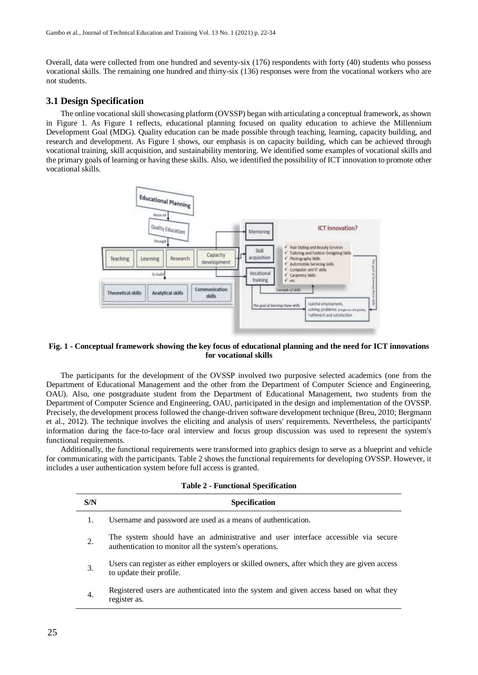Overall, data were collected from one hundred and seventy-six (176) respondents with forty (40) students who possess vocational skills. The remaining one hundred and thirty-six (136) responses were from the vocational workers who are not students.

#### **3.1 Design Specification**

The online vocational skill showcasing platform (OVSSP) began with articulating a conceptual framework, as shown in Figure 1. As Figure 1 reflects, educational planning focused on quality education to achieve the Millennium Development Goal (MDG). Quality education can be made possible through teaching, learning, capacity building, and research and development. As Figure 1 shows, our emphasis is on capacity building, which can be achieved through vocational training, skill acquisition, and sustainability mentoring. We identified some examples of vocational skills and the primary goals of learning or having these skills. Also, we identified the possibility of ICT innovation to promote other vocational skills.



#### **Fig. 1 - Conceptual framework showing the key focus of educational planning and the need for ICT innovations for vocational skills**

The participants for the development of the OVSSP involved two purposive selected academics (one from the Department of Educational Management and the other from the Department of Computer Science and Engineering, OAU). Also, one postgraduate student from the Department of Educational Management, two students from the Department of Computer Science and Engineering, OAU, participated in the design and implementation of the OVSSP. Precisely, the development process followed the change-driven software development technique (Breu, 2010; Bergmann et al., 2012). The technique involves the eliciting and analysis of users' requirements. Nevertheless, the participants' information during the face-to-face oral interview and focus group discussion was used to represent the system's functional requirements.

Additionally, the functional requirements were transformed into graphics design to serve as a blueprint and vehicle for communicating with the participants. Table 2 shows the functional requirements for developing OVSSP. However, it includes a user authentication system before full access is granted.

| S/N | <b>Specification</b>                                                                                                                        |
|-----|---------------------------------------------------------------------------------------------------------------------------------------------|
|     | Username and password are used as a means of authentication.                                                                                |
| 2.  | The system should have an administrative and user interface accessible via secure<br>authentication to monitor all the system's operations. |
| 3.  | Users can register as either employers or skilled owners, after which they are given access<br>to update their profile.                     |
| 4.  | Registered users are authenticated into the system and given access based on what they<br>register as.                                      |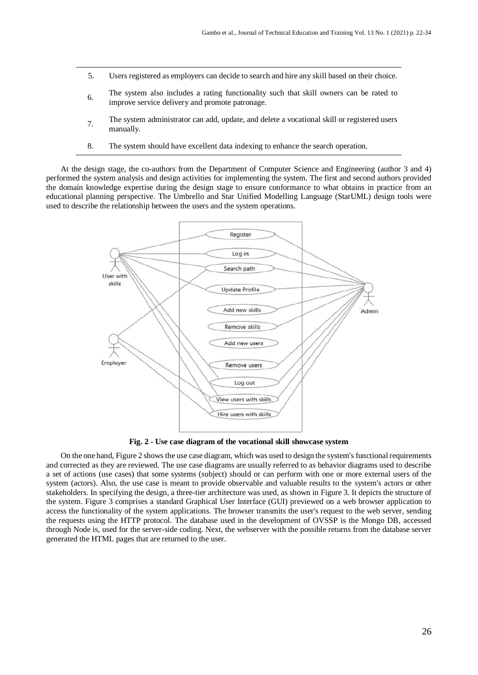- 5. Users registered as employers can decide to search and hire any skill based on their choice.
- 6. The system also includes a rating functionality such that skill owners can be rated to improve service delivery and promote patronage.
- 7. The system administrator can add, update, and delete a vocational skill or registered users manually.
- 8. The system should have excellent data indexing to enhance the search operation.

At the design stage, the co-authors from the Department of Computer Science and Engineering (author 3 and 4) performed the system analysis and design activities for implementing the system. The first and second authors provided the domain knowledge expertise during the design stage to ensure conformance to what obtains in practice from an educational planning perspective. The Umbrello and Star Unified Modelling Language (StarUML) design tools were used to describe the relationship between the users and the system operations.



**Fig. 2 - Use case diagram of the vocational skill showcase system**

On the one hand, Figure 2 shows the use case diagram, which was used to design the system's functional requirements and corrected as they are reviewed. The use case diagrams are usually referred to as behavior diagrams used to describe a set of actions (use cases) that some systems (subject) should or can perform with one or more external users of the system (actors). Also, the use case is meant to provide observable and valuable results to the system's actors or other stakeholders. In specifying the design, a three-tier architecture was used, as shown in Figure 3. It depicts the structure of the system. Figure 3 comprises a standard Graphical User Interface (GUI) previewed on a web browser application to access the functionality of the system applications. The browser transmits the user's request to the web server, sending the requests using the HTTP protocol. The database used in the development of OVSSP is the Mongo DB, accessed through Node is, used for the server-side coding. Next, the webserver with the possible returns from the database server generated the HTML pages that are returned to the user.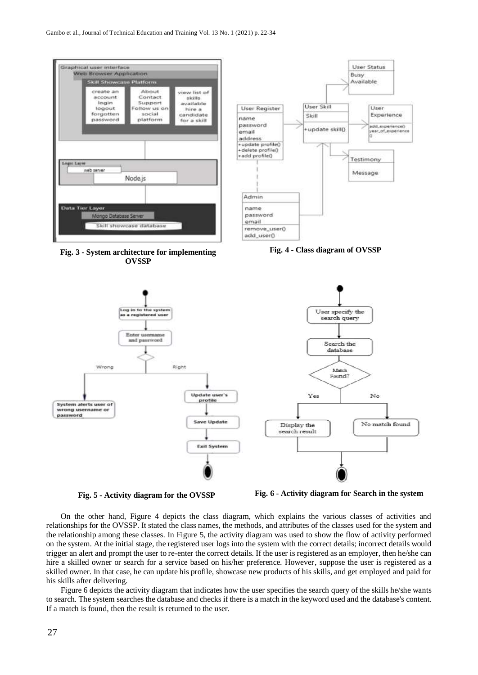

**Fig. 3 - System architecture for implementing OVSSP**



**Fig. 4 - Class diagram of OVSSP**



**Fig. 5 - Activity diagram for the OVSSP Fig. 6 - Activity diagram for Search in the system**

On the other hand, Figure 4 depicts the class diagram, which explains the various classes of activities and relationships for the OVSSP. It stated the class names, the methods, and attributes of the classes used for the system and the relationship among these classes. In Figure 5, the activity diagram was used to show the flow of activity performed on the system. At the initial stage, the registered user logs into the system with the correct details; incorrect details would trigger an alert and prompt the user to re-enter the correct details. If the user is registered as an employer, then he/she can hire a skilled owner or search for a service based on his/her preference. However, suppose the user is registered as a skilled owner. In that case, he can update his profile, showcase new products of his skills, and get employed and paid for his skills after delivering.

Figure 6 depicts the activity diagram that indicates how the user specifies the search query of the skills he/she wants to search. The system searches the database and checks if there is a match in the keyword used and the database's content. If a match is found, then the result is returned to the user.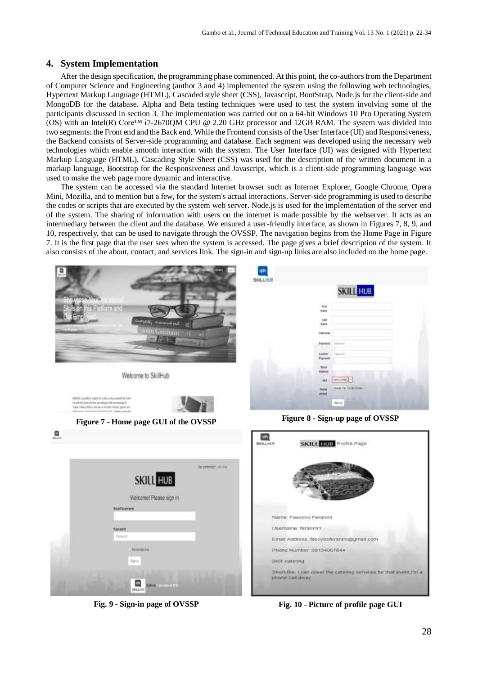## **4. System Implementation**

After the design specification, the programming phase commenced. At this point, the co-authors from the Department of Computer Science and Engineering (author 3 and 4) implemented the system using the following web technologies, Hypertext Markup Language (HTML), Cascaded style sheet (CSS), Javascript, BootStrap, Node.js for the client-side and MongoDB for the database. Alpha and Beta testing techniques were used to test the system involving some of the participants discussed in section 3. The implementation was carried out on a 64-bit Windows 10 Pro Operating System (OS) with an Intel(R) Core™ i7-2670QM CPU @ 2.20 GHz processor and 12GB RAM. The system was divided into two segments: the Front end and the Back end. While the Frontend consists of the User Interface (UI) and Responsiveness, the Backend consists of Server-side programming and database. Each segment was developed using the necessary web technologies which enable smooth interaction with the system. The User Interface (UI) was designed with Hypertext Markup Language (HTML), Cascading Style Sheet (CSS) was used for the description of the written document in a markup language, Bootstrap for the Responsiveness and Javascript, which is a client-side programming language was used to make the web page more dynamic and interactive.

The system can be accessed via the standard Internet browser such as Internet Explorer, Google Chrome, Opera Mini, Mozilla, and to mention but a few, for the system's actual interactions. Server-side programming is used to describe the codes or scripts that are executed by the system web server. Node.js is used for the implementation of the server end of the system. The sharing of information with users on the internet is made possible by the webserver. It acts as an intermediary between the client and the database. We ensured a user-friendly interface, as shown in Figures 7, 8, 9, and 10, respectively, that can be used to navigate through the OVSSP. The navigation begins from the Home Page in Figure 7. It is the first page that the user sees when the system is accessed. The page gives a brief description of the system. It also consists of the about, contact, and services link. The sign-in and sign-up links are also included on the home page.



**Fig. 9 - Sign-in page of OVSSP Fig. 10 - Picture of profile page GUI**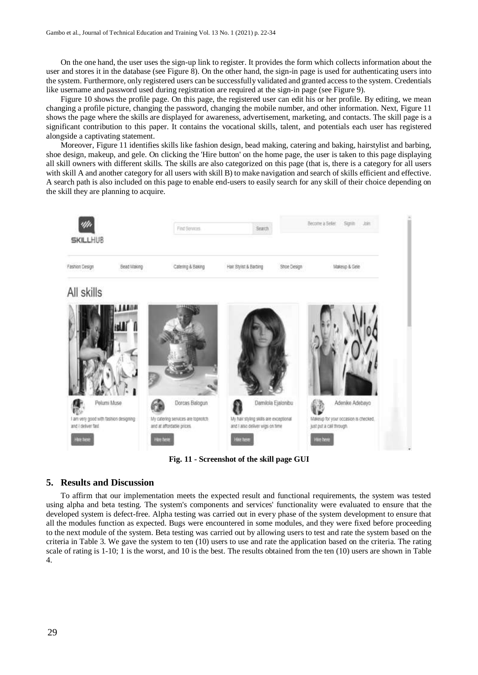On the one hand, the user uses the sign-up link to register. It provides the form which collects information about the user and stores it in the database (see Figure 8). On the other hand, the sign-in page is used for authenticating users into the system. Furthermore, only registered users can be successfully validated and granted access to the system. Credentials like username and password used during registration are required at the sign-in page (see Figure 9).

Figure 10 shows the profile page. On this page, the registered user can edit his or her profile. By editing, we mean changing a profile picture, changing the password, changing the mobile number, and other information. Next, Figure 11 shows the page where the skills are displayed for awareness, advertisement, marketing, and contacts. The skill page is a significant contribution to this paper. It contains the vocational skills, talent, and potentials each user has registered alongside a captivating statement.

Moreover, Figure 11 identifies skills like fashion design, bead making, catering and baking, hairstylist and barbing, shoe design, makeup, and gele. On clicking the 'Hire button' on the home page, the user is taken to this page displaying all skill owners with different skills. The skills are also categorized on this page (that is, there is a category for all users with skill A and another category for all users with skill B) to make navigation and search of skills efficient and effective. A search path is also included on this page to enable end-users to easily search for any skill of their choice depending on the skill they are planning to acquire.



**Fig. 11 - Screenshot of the skill page GUI**

### **5. Results and Discussion**

To affirm that our implementation meets the expected result and functional requirements, the system was tested using alpha and beta testing. The system's components and services' functionality were evaluated to ensure that the developed system is defect-free. Alpha testing was carried out in every phase of the system development to ensure that all the modules function as expected. Bugs were encountered in some modules, and they were fixed before proceeding to the next module of the system. Beta testing was carried out by allowing users to test and rate the system based on the criteria in Table 3. We gave the system to ten (10) users to use and rate the application based on the criteria. The rating scale of rating is 1-10; 1 is the worst, and 10 is the best. The results obtained from the ten (10) users are shown in Table 4.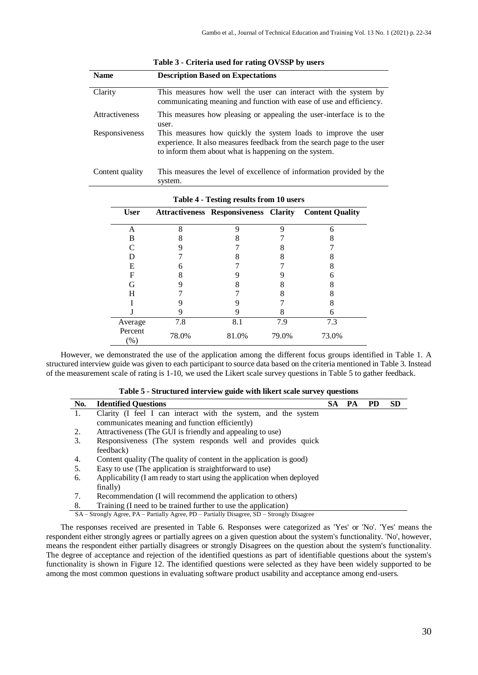| <b>Name</b>     | <b>Description Based on Expectations</b>                                                                                                                                                          |
|-----------------|---------------------------------------------------------------------------------------------------------------------------------------------------------------------------------------------------|
| Clarity         | This measures how well the user can interact with the system by<br>communicating meaning and function with ease of use and efficiency.                                                            |
| Attractiveness  | This measures how pleasing or appealing the user-interface is to the<br>user.                                                                                                                     |
| Responsiveness  | This measures how quickly the system loads to improve the user<br>experience. It also measures feedback from the search page to the user<br>to inform them about what is happening on the system. |
| Content quality | This measures the level of excellence of information provided by the                                                                                                                              |

| Table 3 - Criteria used for rating OVSSP by users |  |  |  |  |  |  |
|---------------------------------------------------|--|--|--|--|--|--|
|---------------------------------------------------|--|--|--|--|--|--|

| Table 4 - Testing results from 10 users |       |                                              |       |                        |  |  |  |  |
|-----------------------------------------|-------|----------------------------------------------|-------|------------------------|--|--|--|--|
| <b>User</b>                             |       | <b>Attractiveness Responsiveness Clarity</b> |       | <b>Content Quality</b> |  |  |  |  |
| А                                       | 8     | 9                                            | 9     |                        |  |  |  |  |
| B                                       | 8     |                                              |       |                        |  |  |  |  |
|                                         |       |                                              |       |                        |  |  |  |  |
| D                                       |       |                                              | 8     |                        |  |  |  |  |
| E                                       |       |                                              |       |                        |  |  |  |  |
| F                                       |       |                                              |       |                        |  |  |  |  |
| G                                       |       |                                              | 8     | 8                      |  |  |  |  |
| H                                       |       |                                              | 8     |                        |  |  |  |  |
|                                         |       |                                              |       |                        |  |  |  |  |
|                                         | 9     |                                              | 8     | 6                      |  |  |  |  |
| Average                                 | 7.8   | 8.1                                          | 7.9   | 7.3                    |  |  |  |  |
| Percent<br>$(\% )$                      | 78.0% | 81.0%                                        | 79.0% | 73.0%                  |  |  |  |  |

| Table 4 - Testing results from 10 users |  |  |  |  |  |
|-----------------------------------------|--|--|--|--|--|
|-----------------------------------------|--|--|--|--|--|

system.

However, we demonstrated the use of the application among the different focus groups identified in Table 1. A structured interview guide was given to each participant to source data based on the criteria mentioned in Table 3. Instead of the measurement scale of rating is 1-10, we used the Likert scale survey questions in Table 5 to gather feedback.

| Table 5 - Structured interview guide with likert scale survey questions |  |  |  |  |  |  |  |  |  |  |
|-------------------------------------------------------------------------|--|--|--|--|--|--|--|--|--|--|
|-------------------------------------------------------------------------|--|--|--|--|--|--|--|--|--|--|

| No. | <b>Identified Ouestions</b>                                                                | <b>SA</b> | PA | <b>PD</b> | <b>SD</b> |
|-----|--------------------------------------------------------------------------------------------|-----------|----|-----------|-----------|
| 1.  | Clarity (I feel I can interact with the system, and the system                             |           |    |           |           |
|     | communicates meaning and function efficiently)                                             |           |    |           |           |
| 2.  | Attractiveness (The GUI is friendly and appealing to use)                                  |           |    |           |           |
| 3.  | Responsiveness (The system responds well and provides quick                                |           |    |           |           |
|     | feedback)                                                                                  |           |    |           |           |
| 4.  | Content quality (The quality of content in the application is good)                        |           |    |           |           |
| 5.  | Easy to use (The application is straightforward to use)                                    |           |    |           |           |
| 6.  | Applicability (I am ready to start using the application when deployed                     |           |    |           |           |
|     | finally)                                                                                   |           |    |           |           |
| 7.  | Recommendation (I will recommend the application to others)                                |           |    |           |           |
| 8.  | Training (I need to be trained further to use the application)                             |           |    |           |           |
|     | SA – Strongly Agree, PA – Partially Agree, PD – Partially Disagree, SD – Strongly Disagree |           |    |           |           |

The responses received are presented in Table 6. Responses were categorized as 'Yes' or 'No'. 'Yes' means the respondent either strongly agrees or partially agrees on a given question about the system's functionality. 'No', however, means the respondent either partially disagrees or strongly Disagrees on the question about the system's functionality. The degree of acceptance and rejection of the identified questions as part of identifiable questions about the system's functionality is shown in Figure 12. The identified questions were selected as they have been widely supported to be among the most common questions in evaluating software product usability and acceptance among end-users.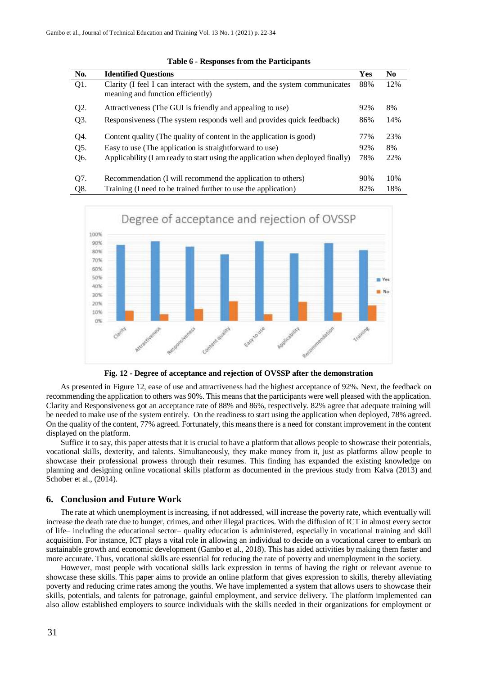| No.    | <b>Identified Questions</b>                                                                                      | Yes | N <sub>0</sub> |
|--------|------------------------------------------------------------------------------------------------------------------|-----|----------------|
| $Q1$ . | Clarity (I feel I can interact with the system, and the system communicates<br>meaning and function efficiently) | 88% | 12%            |
| Q2.    | Attractiveness (The GUI is friendly and appealing to use)                                                        | 92% | 8%             |
| Q3.    | Responsiveness (The system responds well and provides quick feedback)                                            | 86% | 14%            |
| Q4.    | Content quality (The quality of content in the application is good)                                              | 77% | 23%            |
| Q5.    | Easy to use (The application is straightforward to use)                                                          | 92% | 8%             |
| Q6.    | Applicability (I am ready to start using the application when deployed finally)                                  | 78% | 22%            |
| Q7.    | Recommendation (I will recommend the application to others)                                                      | 90% | 10%            |
| Q8.    | Training (I need to be trained further to use the application)                                                   | 82% | 18%            |





**Fig. 12 - Degree of acceptance and rejection of OVSSP after the demonstration**

As presented in Figure 12, ease of use and attractiveness had the highest acceptance of 92%. Next, the feedback on recommending the application to others was 90%. This means that the participants were well pleased with the application. Clarity and Responsiveness got an acceptance rate of 88% and 86%, respectively. 82% agree that adequate training will be needed to make use of the system entirely. On the readiness to start using the application when deployed, 78% agreed. On the quality of the content, 77% agreed. Fortunately, this means there is a need for constant improvement in the content displayed on the platform.

Suffice it to say, this paper attests that it is crucial to have a platform that allows people to showcase their potentials, vocational skills, dexterity, and talents. Simultaneously, they make money from it, just as platforms allow people to showcase their professional prowess through their resumes. This finding has expanded the existing knowledge on planning and designing online vocational skills platform as documented in the previous study from Kalva (2013) and Schober et al., (2014).

#### **6. Conclusion and Future Work**

The rate at which unemployment is increasing, if not addressed, will increase the poverty rate, which eventually will increase the death rate due to hunger, crimes, and other illegal practices. With the diffusion of ICT in almost every sector of life– including the educational sector– quality education is administered, especially in vocational training and skill acquisition. For instance, ICT plays a vital role in allowing an individual to decide on a vocational career to embark on sustainable growth and economic development (Gambo et al., 2018). This has aided activities by making them faster and more accurate. Thus, vocational skills are essential for reducing the rate of poverty and unemployment in the society.

However, most people with vocational skills lack expression in terms of having the right or relevant avenue to showcase these skills. This paper aims to provide an online platform that gives expression to skills, thereby alleviating poverty and reducing crime rates among the youths. We have implemented a system that allows users to showcase their skills, potentials, and talents for patronage, gainful employment, and service delivery. The platform implemented can also allow established employers to source individuals with the skills needed in their organizations for employment or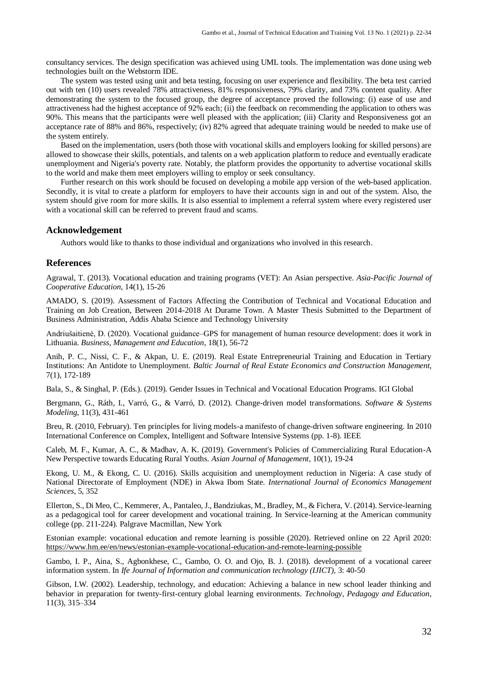consultancy services. The design specification was achieved using UML tools. The implementation was done using web technologies built on the Webstorm IDE.

The system was tested using unit and beta testing, focusing on user experience and flexibility. The beta test carried out with ten (10) users revealed 78% attractiveness, 81% responsiveness, 79% clarity, and 73% content quality. After demonstrating the system to the focused group, the degree of acceptance proved the following: (i) ease of use and attractiveness had the highest acceptance of 92% each; (ii) the feedback on recommending the application to others was 90%. This means that the participants were well pleased with the application; (iii) Clarity and Responsiveness got an acceptance rate of 88% and 86%, respectively; (iv) 82% agreed that adequate training would be needed to make use of the system entirely.

Based on the implementation, users (both those with vocational skills and employers looking for skilled persons) are allowed to showcase their skills, potentials, and talents on a web application platform to reduce and eventually eradicate unemployment and Nigeria's poverty rate. Notably, the platform provides the opportunity to advertise vocational skills to the world and make them meet employers willing to employ or seek consultancy.

Further research on this work should be focused on developing a mobile app version of the web-based application. Secondly, it is vital to create a platform for employers to have their accounts sign in and out of the system. Also, the system should give room for more skills. It is also essential to implement a referral system where every registered user with a vocational skill can be referred to prevent fraud and scams.

#### **Acknowledgement**

Authors would like to thanks to those individual and organizations who involved in this research.

#### **References**

Agrawal, T. (2013). Vocational education and training programs (VET): An Asian perspective. *Asia-Pacific Journal of Cooperative Education*, 14(1), 15-26

AMADO, S. (2019). Assessment of Factors Affecting the Contribution of Technical and Vocational Education and Training on Job Creation, Between 2014-2018 At Durame Town. A Master Thesis Submitted to the Department of Business Administration, Addis Ababa Science and Technology University

Andriušaitienė, D. (2020). Vocational guidance–GPS for management of human resource development: does it work in Lithuania. *Business, Management and Education*, 18(1), 56-72

Anih, P. C., Nissi, C. F., & Akpan, U. E. (2019). Real Estate Entrepreneurial Training and Education in Tertiary Institutions: An Antidote to Unemployment. *Baltic Journal of Real Estate Economics and Construction Management*, 7(1), 172-189

Bala, S., & Singhal, P. (Eds.). (2019). Gender Issues in Technical and Vocational Education Programs. IGI Global

Bergmann, G., Ráth, I., Varró, G., & Varró, D. (2012). Change-driven model transformations. *Software & Systems Modeling*, 11(3), 431-461

Breu, R. (2010, February). Ten principles for living models-a manifesto of change-driven software engineering. In 2010 International Conference on Complex, Intelligent and Software Intensive Systems (pp. 1-8). IEEE

Caleb, M. F., Kumar, A. C., & Madhav, A. K. (2019). Government's Policies of Commercializing Rural Education-A New Perspective towards Educating Rural Youths. *Asian Journal of Management*, 10(1), 19-24

Ekong, U. M., & Ekong, C. U. (2016). Skills acquisition and unemployment reduction in Nigeria: A case study of National Directorate of Employment (NDE) in Akwa Ibom State. *International Journal of Economics Management Sciences*, 5, 352

Ellerton, S., Di Meo, C., Kemmerer, A., Pantaleo, J., Bandziukas, M., Bradley, M., & Fichera, V. (2014). Service-learning as a pedagogical tool for career development and vocational training. In Service-learning at the American community college (pp. 211-224). Palgrave Macmillan, New York

Estonian example: vocational education and remote learning is possible (2020). Retrieved online on 22 April 2020: <https://www.hm.ee/en/news/estonian-example-vocational-education-and-remote-learning-possible>

Gambo, I. P., Aina, S., Agbonkhese, C., Gambo, O. O. and Ojo, B. J. (2018). development of a vocational career information system. In *Ife Journal of Information and communication technology (IJICT),* 3: 40-50

Gibson, I.W. (2002). Leadership, technology, and education: Achieving a balance in new school leader thinking and behavior in preparation for twenty-first-century global learning environments. *Technology, Pedagogy and Education*, 11(3), 315–334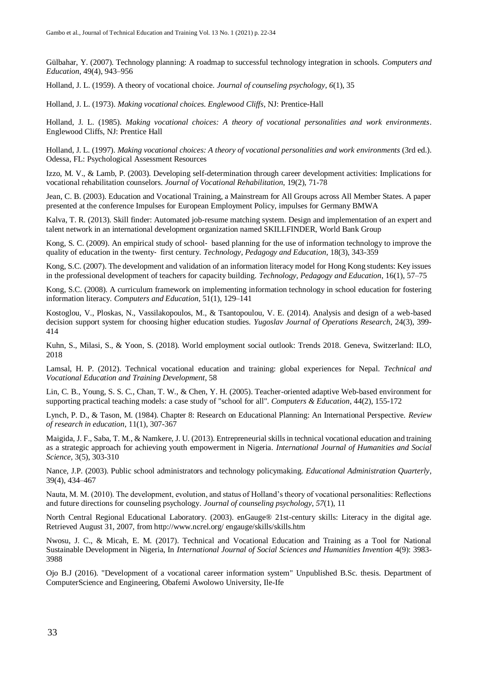Gülbahar, Y. (2007). Technology planning: A roadmap to successful technology integration in schools. *Computers and Education*, 49(4), 943–956

Holland, J. L. (1959). A theory of vocational choice. *Journal of counseling psychology*, *6*(1), 35

Holland, J. L. (1973). *Making vocational choices. Englewood Cliffs*, NJ: Prentice-Hall

Holland, J. L. (1985). *Making vocational choices: A theory of vocational personalities and work environments*. Englewood Cliffs, NJ: Prentice Hall

Holland, J. L. (1997). *Making vocational choices: A theory of vocational personalities and work environments* (3rd ed.). Odessa, FL: Psychological Assessment Resources

Izzo, M. V., & Lamb, P. (2003). Developing self-determination through career development activities: Implications for vocational rehabilitation counselors. *Journal of Vocational Rehabilitation*, 19(2), 71-78

Jean, C. B. (2003). Education and Vocational Training, a Mainstream for All Groups across All Member States. A paper presented at the conference Impulses for European Employment Policy, impulses for Germany BMWA

Kalva, T. R. (2013). Skill finder: Automated job-resume matching system. Design and implementation of an expert and talent network in an international development organization named SKILLFINDER, World Bank Group

Kong, S. C. (2009). An empirical study of school- based planning for the use of information technology to improve the quality of education in the twenty‐ first century. *Technology, Pedagogy and Education*, 18(3), 343-359

Kong, S.C. (2007). The development and validation of an information literacy model for Hong Kong students: Key issues in the professional development of teachers for capacity building. *Technology, Pedagogy and Education*, 16(1), 57–75

Kong, S.C. (2008). A curriculum framework on implementing information technology in school education for fostering information literacy. *Computers and Education*, 51(1), 129–141

Kostoglou, V., Ploskas, N., Vassilakopoulos, M., & Tsantopoulou, V. E. (2014). Analysis and design of a web-based decision support system for choosing higher education studies. *Yugoslav Journal of Operations Research*, 24(3), 399- 414

Kuhn, S., Milasi, S., & Yoon, S. (2018). World employment social outlook: Trends 2018. Geneva, Switzerland: ILO, 2018

Lamsal, H. P. (2012). Technical vocational education and training: global experiences for Nepal. *Technical and Vocational Education and Training Development*, 58

Lin, C. B., Young, S. S. C., Chan, T. W., & Chen, Y. H. (2005). Teacher-oriented adaptive Web-based environment for supporting practical teaching models: a case study of "school for all". *Computers & Education*, 44(2), 155-172

Lynch, P. D., & Tason, M. (1984). Chapter 8: Research on Educational Planning: An International Perspective. *Review of research in education*, 11(1), 307-367

Maigida, J. F., Saba, T. M., & Namkere, J. U. (2013). Entrepreneurial skills in technical vocational education and training as a strategic approach for achieving youth empowerment in Nigeria. *International Journal of Humanities and Social Science*, 3(5), 303-310

Nance, J.P. (2003). Public school administrators and technology policymaking. *Educational Administration Quarterly*, 39(4), 434–467

Nauta, M. M. (2010). The development, evolution, and status of Holland's theory of vocational personalities: Reflections and future directions for counseling psychology. *Journal of counseling psychology*, *57*(1), 11

North Central Regional Educational Laboratory. (2003). enGauge® 21st-century skills: Literacy in the digital age. Retrieved August 31, 2007, from http://www.ncrel.org/ engauge/skills/skills.htm

Nwosu, J. C., & Micah, E. M. (2017). Technical and Vocational Education and Training as a Tool for National Sustainable Development in Nigeria, In *International Journal of Social Sciences and Humanities Invention* 4(9): 3983- 3988

Ojo B.J (2016). "Development of a vocational career information system" Unpublished B.Sc. thesis. Department of ComputerScience and Engineering, Obafemi Awolowo University, Ile-Ife